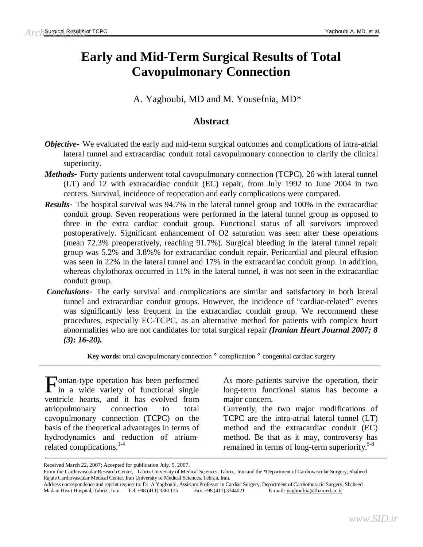# **Early and Mid-Term Surgical Results of Total Cavopulmonary Connection**

A. Yaghoubi, MD and M. Yousefnia, MD\*

# **Abstract**

- *Objective-* We evaluated the early and mid-term surgical outcomes and complications of intra-atrial lateral tunnel and extracardiac conduit total cavopulmonary connection to clarify the clinical superiority.
- *Methods* Forty patients underwent total cavopulmonary connection (TCPC), 26 with lateral tunnel (LT) and 12 with extracardiac conduit (EC) repair, from July 1992 to June 2004 in two centers. Survival, incidence of reoperation and early complications were compared.
- *Results-* The hospital survival was 94.7% in the lateral tunnel group and 100% in the extracardiac conduit group. Seven reoperations were performed in the lateral tunnel group as opposed to three in the extra cardiac conduit group. Functional status of all survivors improved postoperatively. Significant enhancement of O2 saturation was seen after these operations (mean 72.3% preoperatively, reaching 91.7%). Surgical bleeding in the lateral tunnel repair group was 5.2% and 3.8%% for extracardiac conduit repair. Pericardial and pleural effusion was seen in 22% in the lateral tunnel and 17% in the extracardiac conduit group. In addition, whereas chylothorax occurred in 11% in the lateral tunnel, it was not seen in the extracardiac conduit group.
- *Conclusions* The early survival and complications are similar and satisfactory in both lateral tunnel and extracardiac conduit groups. However, the incidence of "cardiac-related" events was significantly less frequent in the extracardiac conduit group. We recommend these procedures, especially EC-TCPC, as an alternative method for patients with complex heart abnormalities who are not candidates for total surgical repair *(Iranian Heart Journal 2007; 8 (3): 16-20).*

**Key words:** total cavopulmonary connection ¡ complication ¡ congenital cardiac surgery

ontan-type operation has been performed Fontan-type operation has been performed<br>in a wide variety of functional single ventricle hearts, and it has evolved from atriopulmonary connection to total cavopulmonary connection (TCPC) on the basis of the theoretical advantages in terms of hydrodynamics and reduction of atriumrelated complications. 1-4

As more patients survive the operation, their long-term functional status has become a major concern.

Currently, the two major modifications of TCPC are the intra-atrial lateral tunnel (LT) method and the extracardiac conduit (EC) method. Be that as it may, controversy has remained in terms of long-term superiority. 5-8

Received March 22, 2007; Accepted for publication July. 5, 2007.

From the Cardiovascular Research Center, Tabriz University of Medical Sciences, Tabriz, Iran and the \*Department of Cardiovascular Surgery, Shaheed Rajaie Cardiovascular Medical Center, Iran University of Medical Sciences, Tehran, Iran.

Address correspondence and reprint request to: Dr. A Yaghoubi, Assistant Professor in Cardiac Surgery, Department of Cardiothoracic Surgery, Shaheed Madani Heart Hospital, Tabriz , Iran. Tel. +98 (411) 3361175 Fax. +98 (411) 3344021 E-mail: [yaghoubia@tbzmed.ac.ir](mailto:yaghoubia@tbzmed.ac.ir)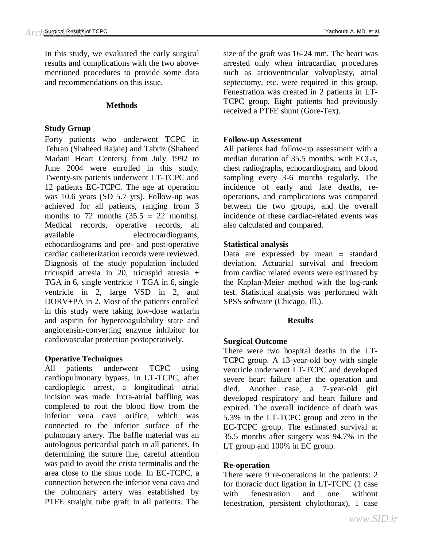In this study, we evaluated the early surgical results and complications with the two abovementioned procedures to provide some data and recommendations on this issue.

#### **Methods**

#### **Study Group**

Forty patients who underwent TCPC in Tehran (Shaheed Rajaie) and Tabriz (Shaheed Madani Heart Centers) from July 1992 to June 2004 were enrolled in this study. Twenty-six patients underwent LT-TCPC and 12 patients EC-TCPC. The age at operation was 10.6 years (SD 5.7 yrs). Follow-up was achieved for all patients, ranging from 3 months to 72 months  $(35.5 \pm 22 \text{ months})$ . Medical records, operative records, all available electrocardiograms, echocardiograms and pre- and post-operative cardiac catheterization records were reviewed. Diagnosis of the study population included tricuspid atresia in 20, tricuspid atresia + TGA in 6, single ventricle  $+$  TGA in 6, single ventricle in 2, large VSD in 2, and DORV+PA in 2. Most of the patients enrolled in this study were taking low-dose warfarin and aspirin for hypercoagulability state and angiotensin-converting enzyme inhibitor for cardiovascular protection postoperatively.

#### **Operative Techniques**

All patients underwent TCPC using cardiopulmonary bypass. In LT-TCPC, after cardioplegic arrest, a longitudinal atrial incision was made. Intra-atrial baffling was completed to rout the blood flow from the inferior vena cava orifice, which was connected to the inferior surface of the pulmonary artery. The baffle material was an autologous pericardial patch in all patients. In determining the suture line, careful attention was paid to avoid the crista terminalis and the area close to the sinus node. In EC-TCPC, a connection between the inferior vena cava and the pulmonary artery was established by PTFE straight tube graft in all patients. The

size of the graft was 16-24 mm. The heart was arrested only when intracardiac procedures such as atrioventricular valvoplasty, atrial septectomy, etc. were required in this group. Fenestration was created in 2 patients in LT-TCPC group. Eight patients had previously received a PTFE shunt (Gore-Tex).

## **Follow-up Assessment**

All patients had follow-up assessment with a median duration of 35.5 months, with ECGs, chest radiographs, echocardiogram, and blood sampling every 3-6 months regularly. The incidence of early and late deaths, reoperations, and complications was compared between the two groups, and the overall incidence of these cardiac-related events was also calculated and compared.

## **Statistical analysis**

Data are expressed by mean  $\pm$  standard deviation. Actuarial survival and freedom from cardiac related events were estimated by the Kaplan-Meier method with the log-rank test. Statistical analysis was performed with SPSS software (Chicago, Ill.).

#### **Results**

# **Surgical Outcome**

There were two hospital deaths in the LT-TCPC group. A 13-year-old boy with single ventricle underwent LT-TCPC and developed severe heart failure after the operation and died. Another case, a 7-year-old girl developed respiratory and heart failure and expired. The overall incidence of death was 5.3% in the LT-TCPC group and zero in the EC-TCPC group. The estimated survival at 35.5 months after surgery was 94.7% in the LT group and 100% in EC group.

# **Re-operation**

There were 9 re-operations in the patients: 2 for thoracic duct ligation in LT-TCPC (1 case with fenestration and one without fenestration, persistent chylothorax), 1 case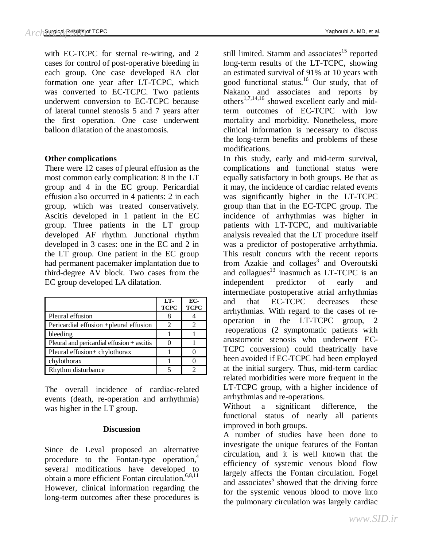with EC-TCPC for sternal re-wiring, and 2 cases for control of post-operative bleeding in each group. One case developed RA clot formation one year after LT-TCPC, which was converted to EC-TCPC. Two patients underwent conversion to EC-TCPC because of lateral tunnel stenosis 5 and 7 years after the first operation. One case underwent balloon dilatation of the anastomosis.

#### **Other complications**

There were 12 cases of pleural effusion as the most common early complication: 8 in the LT group and 4 in the EC group. Pericardial effusion also occurred in 4 patients: 2 in each group, which was treated conservatively. Ascitis developed in 1 patient in the EC group. Three patients in the LT group developed AF rhythm. Junctional rhythm developed in 3 cases: one in the EC and 2 in the LT group. One patient in the EC group had permanent pacemaker implantation due to third-degree AV block. Two cases from the EC group developed LA dilatation.

|                                              | LT-<br><b>TCPC</b> | EC-<br><b>TCPC</b> |
|----------------------------------------------|--------------------|--------------------|
| Pleural effusion                             |                    |                    |
| Pericardial effusion +pleural effusion       |                    |                    |
| bleeding                                     |                    |                    |
| Pleural and pericardial effusion $+$ ascitis |                    |                    |
| Pleural effusion+ chylothorax                |                    |                    |
| chylothorax                                  |                    |                    |
| Rhythm disturbance                           |                    |                    |

The overall incidence of cardiac-related events (death, re-operation and arrhythmia) was higher in the LT group.

#### **Discussion**

Since de Leval proposed an alternative procedure to the Fontan-type operation, 4 several modifications have developed to obtain a more efficient Fontan circulation.<sup>6,8,11</sup> However, clinical information regarding the long-term outcomes after these procedures is still limited. Stamm and associates<sup>15</sup> reported long-term results of the LT-TCPC, showing an estimated survival of 91% at 10 years with good functional status.<sup>16</sup> Our study, that of Nakano and associates and reports by others<sup>1,7,14,16</sup> showed excellent early and midterm outcomes of EC-TCPC with low mortality and morbidity. Nonetheless, more clinical information is necessary to discuss the long-term benefits and problems of these modifications.

In this study, early and mid-term survival, complications and functional status were equally satisfactory in both groups. Be that as it may, the incidence of cardiac related events was significantly higher in the LT-TCPC group than that in the EC-TCPC group. The incidence of arrhythmias was higher in patients with LT-TCPC, and multivariable analysis revealed that the LT procedure itself was a predictor of postoperative arrhythmia. This result concurs with the recent reports from Azakie and collages<sup>3</sup> and Overoutski and collagues<sup>13</sup> inasmuch as LT-TCPC is an independent predictor of early and intermediate postoperative atrial arrhythmias and that EC-TCPC decreases these arrhythmias. With regard to the cases of reoperation in the LT-TCPC group, 2 reoperations (2 symptomatic patients with anastomotic stenosis who underwent EC-TCPC conversion) could theatrically have been avoided if EC-TCPC had been employed at the initial surgery. Thus, mid-term cardiac related morbidities were more frequent in the LT-TCPC group, with a higher incidence of arrhythmias and re-operations.

Without a significant difference, the functional status of nearly all patients improved in both groups.

A number of studies have been done to investigate the unique features of the Fontan circulation, and it is well known that the efficiency of systemic venous blood flow largely affects the Fontan circulation. Fogel and associates<sup>5</sup> showed that the driving force for the systemic venous blood to move into the pulmonary circulation was largely cardiac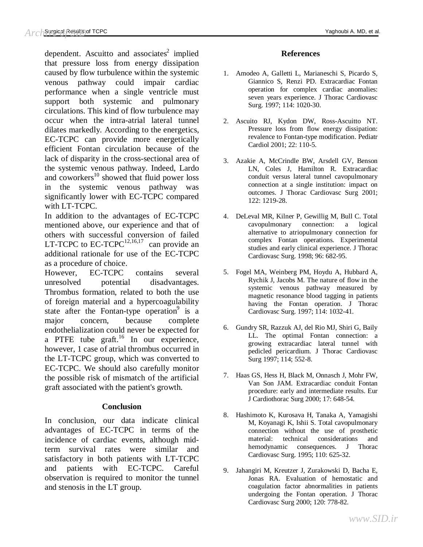dependent. Ascuitto and associates<sup>2</sup> implied that pressure loss from energy dissipation caused by flow turbulence within the systemic venous pathway could impair cardiac performance when a single ventricle must support both systemic and pulmonary circulations. This kind of flow turbulence may occur when the intra-atrial lateral tunnel dilates markedly. According to the energetics, EC-TCPC can provide more energetically efficient Fontan circulation because of the lack of disparity in the cross-sectional area of the systemic venous pathway. Indeed, Lardo and coworkers $^{10}$  showed that fluid power loss in the systemic venous pathway was significantly lower with EC-TCPC compared with LT-TCPC.

In addition to the advantages of EC-TCPC mentioned above, our experience and that of others with successful conversion of failed LT-TCPC to  $EC-TCPC^{12,16,17}$  can provide an additional rationale for use of the EC-TCPC as a procedure of choice.

However, EC-TCPC contains several unresolved potential disadvantages. Thrombus formation, related to both the use of foreign material and a hypercoagulability state after the Fontan-type operation $\int$  is a major concern, because complete endothelialization could never be expected for a PTFE tube graft.<sup>16</sup> In our experience, however, 1 case of atrial thrombus occurred in the LT-TCPC group, which was converted to EC-TCPC. We should also carefully monitor the possible risk of mismatch of the artificial graft associated with the patient's growth.

#### **Conclusion**

In conclusion, our data indicate clinical advantages of EC-TCPC in terms of the incidence of cardiac events, although midterm survival rates were similar and satisfactory in both patients with LT-TCPC and patients with EC-TCPC. Careful observation is required to monitor the tunnel and stenosis in the LT group.

#### **References**

- 1. Amodeo A, Galletti L, Marianeschi S, Picardo S, Giannico S, Renzi PD. Extracardiac Fontan operation for complex cardiac anomalies: seven years experience. J Thorac Cardiovasc Surg. 1997; 114: 1020-30.
- 2. Ascuito RJ, Kydon DW, Ross-Ascuitto NT. Pressure loss from flow energy dissipation: revalence to Fontan-type modification. Pediatr Cardiol 2001; 22: 110-5.
- 3. Azakie A, McCrindle BW, Arsdell GV, Benson LN, Coles J, Hamilton R. Extracardiac conduit versus lateral tunnel cavopulmonary connection at a single institution: impact on outcomes. J Thorac Cardiovasc Surg 2001; 122: 1219-28.
- 4. DeLeval MR, Kilner P, Gewillig M, Bull C. Total cavopulmonary connection: a logical alternative to atriopulmonary connection for complex Fontan operations. Experimental studies and early clinical experience. J Thorac Cardiovasc Surg. 1998; 96: 682-95.
- 5. Fogel MA, Weinberg PM, Hoydu A, Hubbard A, Rychik J, Jacobs M. The nature of flow in the systemic venous pathway measured by magnetic resonance blood tagging in patients having the Fontan operation. J Thorac Cardiovasc Surg. 1997; 114: 1032-41.
- 6. Gundry SR, Razzuk AJ, del Rio MJ, Shiri G, Baily LL. The optimal Fontan connection: a growing extracardiac lateral tunnel with pedicled pericardium. J Thorac Cardiovasc Surg 1997; 114; 552-8.
- 7. Haas GS, Hess H, Black M, Onnasch J, Mohr FW, Van Son JAM. Extracardiac conduit Fontan procedure: early and intermediate results. Eur J Cardiothorac Surg 2000; 17: 648-54.
- 8. Hashimoto K, Kurosava H, Tanaka A, Yamagishi M, Koyanagi K, Ishii S. Total cavopulmonary connection without the use of prosthetic material: technical considerations and hemodynamic consequences. J Thorac Cardiovasc Surg. 1995; 110: 625-32.
- 9. Jahangiri M, Kreutzer J, Zurakowski D, Bacha E, Jonas RA. Evaluation of hemostatic and coagulation factor abnormalities in patients undergoing the Fontan operation. J Thorac Cardiovasc Surg 2000; 120: 778-82.